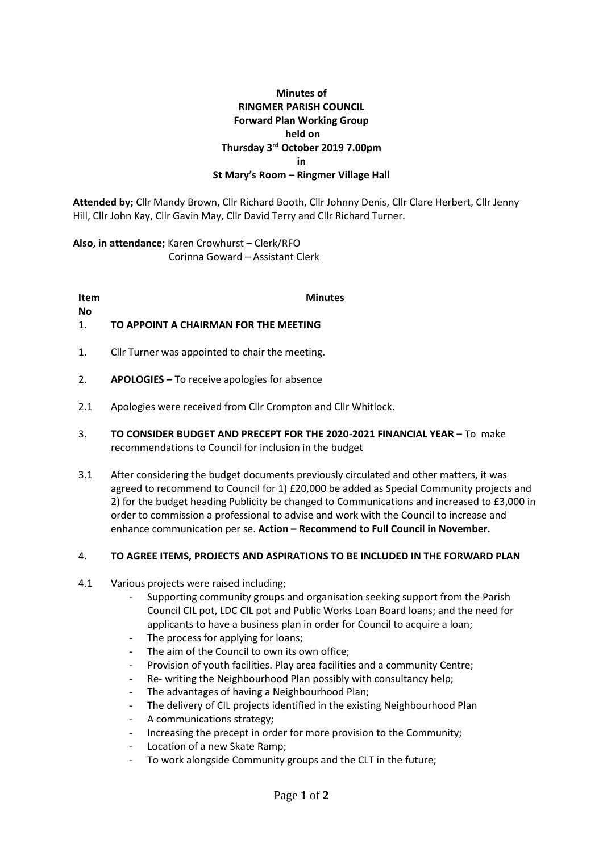# **Minutes of RINGMER PARISH COUNCIL Forward Plan Working Group held on Thursday 3 rd October 2019 7.00pm in St Mary's Room – Ringmer Village Hall**

**Attended by;** Cllr Mandy Brown, Cllr Richard Booth, Cllr Johnny Denis, Cllr Clare Herbert, Cllr Jenny Hill, Cllr John Kay, Cllr Gavin May, Cllr David Terry and Cllr Richard Turner.

**Also, in attendance;** Karen Crowhurst – Clerk/RFO Corinna Goward – Assistant Clerk

**Item No Minutes**

### 1. **TO APPOINT A CHAIRMAN FOR THE MEETING**

- 1. Cllr Turner was appointed to chair the meeting.
- 2. **APOLOGIES –** To receive apologies for absence
- 2.1 Apologies were received from Cllr Crompton and Cllr Whitlock.
- 3. **TO CONSIDER BUDGET AND PRECEPT FOR THE 2020-2021 FINANCIAL YEAR –** To make recommendations to Council for inclusion in the budget
- 3.1 After considering the budget documents previously circulated and other matters, it was agreed to recommend to Council for 1) £20,000 be added as Special Community projects and 2) for the budget heading Publicity be changed to Communications and increased to £3,000 in order to commission a professional to advise and work with the Council to increase and enhance communication per se. **Action – Recommend to Full Council in November.**

#### 4. **TO AGREE ITEMS, PROJECTS AND ASPIRATIONS TO BE INCLUDED IN THE FORWARD PLAN**

- 4.1 Various projects were raised including;
	- Supporting community groups and organisation seeking support from the Parish Council CIL pot, LDC CIL pot and Public Works Loan Board loans; and the need for applicants to have a business plan in order for Council to acquire a loan;
	- The process for applying for loans;
	- The aim of the Council to own its own office;
	- Provision of youth facilities. Play area facilities and a community Centre;
	- Re- writing the Neighbourhood Plan possibly with consultancy help;
	- The advantages of having a Neighbourhood Plan;
	- The delivery of CIL projects identified in the existing Neighbourhood Plan
	- A communications strategy;
	- Increasing the precept in order for more provision to the Community;
	- Location of a new Skate Ramp;
	- To work alongside Community groups and the CLT in the future;